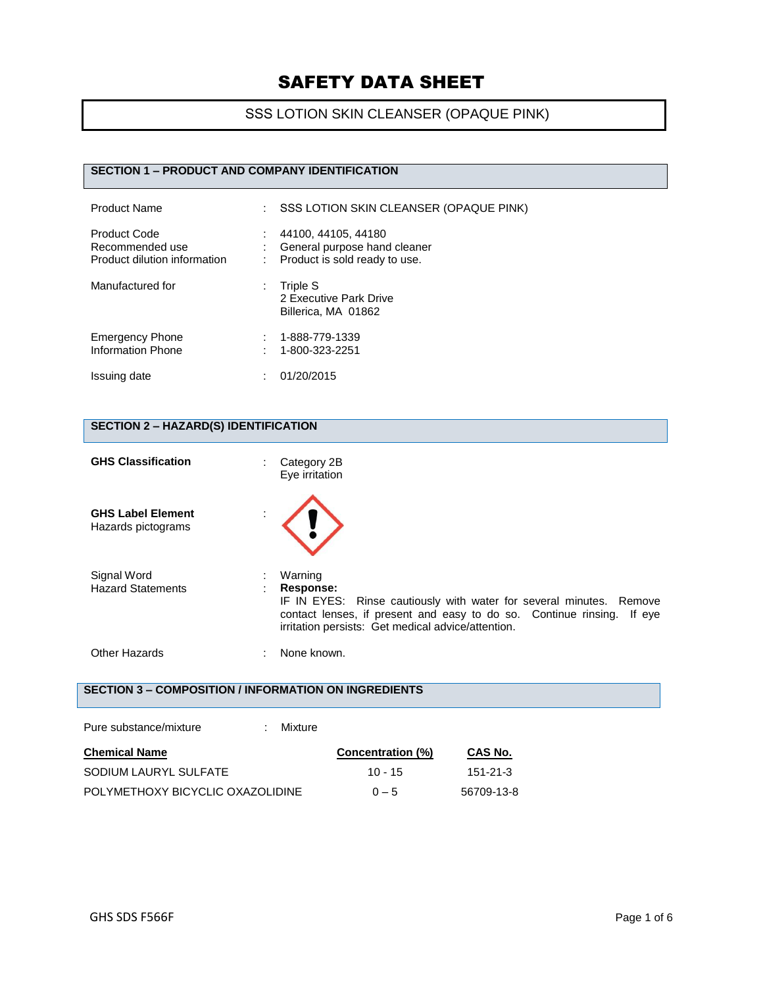## SSS LOTION SKIN CLEANSER (OPAQUE PINK)

#### **SECTION 1 – PRODUCT AND COMPANY IDENTIFICATION**

| <b>Product Name</b>                                             | SSS LOTION SKIN CLEANSER (OPAQUE PINK)                                               |
|-----------------------------------------------------------------|--------------------------------------------------------------------------------------|
| Product Code<br>Recommended use<br>Product dilution information | 44100, 44105, 44180<br>General purpose hand cleaner<br>Product is sold ready to use. |
| Manufactured for                                                | Triple S<br>2 Executive Park Drive<br>Billerica, MA 01862                            |
| <b>Emergency Phone</b><br><b>Information Phone</b>              | 1-888-779-1339<br>1-800-323-2251                                                     |
| Issuing date                                                    | 01/20/2015                                                                           |

### **SECTION 2 – HAZARD(S) IDENTIFICATION**

| <b>GHS Classification</b>                            | Category 2B<br>Eye irritation                                                                                                                                                                                                  |
|------------------------------------------------------|--------------------------------------------------------------------------------------------------------------------------------------------------------------------------------------------------------------------------------|
| <b>GHS Label Element</b><br>Hazards pictograms       |                                                                                                                                                                                                                                |
| Signal Word<br><b>Hazard Statements</b>              | Warning<br>Response:<br>IF IN EYES: Rinse cautiously with water for several minutes. Remove<br>contact lenses, if present and easy to do so. Continue rinsing.<br>If eye<br>irritation persists: Get medical advice/attention. |
| Other Hazards                                        | None known.                                                                                                                                                                                                                    |
| SECTION 3 – COMPOSITION / INFORMATION ON INGREDIENTS |                                                                                                                                                                                                                                |
| Pure substance/mixture                               | Mixture                                                                                                                                                                                                                        |

| <b>Chemical Name</b>             | Concentration (%) | CAS No.    |
|----------------------------------|-------------------|------------|
| SODIUM LAURYL SULFATE            | $10 - 15$         | -151-21-3  |
| POLYMETHOXY BICYCLIC OXAZOLIDINE | $0 - 5$           | 56709-13-8 |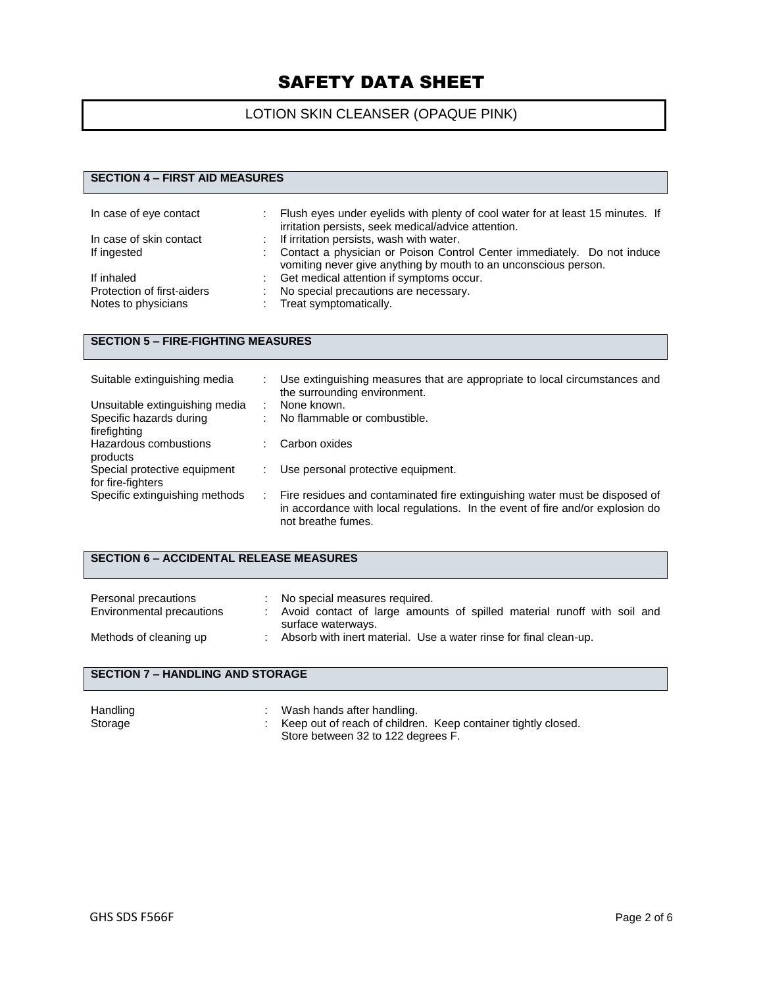### LOTION SKIN CLEANSER (OPAQUE PINK)

#### **SECTION 4 – FIRST AID MEASURES**

| In case of eye contact     | Flush eyes under eyelids with plenty of cool water for at least 15 minutes. If<br>irritation persists, seek medical/advice attention.      |
|----------------------------|--------------------------------------------------------------------------------------------------------------------------------------------|
| In case of skin contact    | If irritation persists, wash with water.                                                                                                   |
| If ingested                | Contact a physician or Poison Control Center immediately. Do not induce<br>vomiting never give anything by mouth to an unconscious person. |
| If inhaled                 | Get medical attention if symptoms occur.                                                                                                   |
| Protection of first-aiders | No special precautions are necessary.                                                                                                      |
| Notes to physicians        | : Treat symptomatically.                                                                                                                   |

#### **SECTION 5 – FIRE-FIGHTING MEASURES**

| Suitable extinguishing media   | Use extinguishing measures that are appropriate to local circumstances and<br>the surrounding environment.                                                                          |
|--------------------------------|-------------------------------------------------------------------------------------------------------------------------------------------------------------------------------------|
| Unsuitable extinguishing media | None known.                                                                                                                                                                         |
| Specific hazards during        | No flammable or combustible.                                                                                                                                                        |
| firefighting                   |                                                                                                                                                                                     |
| Hazardous combustions          | Carbon oxides                                                                                                                                                                       |
| products                       |                                                                                                                                                                                     |
| Special protective equipment   | Use personal protective equipment.                                                                                                                                                  |
| for fire-fighters              |                                                                                                                                                                                     |
| Specific extinguishing methods | Fire residues and contaminated fire extinguishing water must be disposed of<br>in accordance with local regulations. In the event of fire and/or explosion do<br>not breathe fumes. |

#### **SECTION 6 – ACCIDENTAL RELEASE MEASURES**

| Personal precautions<br>Environmental precautions | No special measures required.<br>Avoid contact of large amounts of spilled material runoff with soil and |
|---------------------------------------------------|----------------------------------------------------------------------------------------------------------|
| Methods of cleaning up                            | surface waterways.<br>Absorb with inert material. Use a water rinse for final clean-up.                  |

#### **SECTION 7 – HANDLING AND STORAGE**

| Handling | Wash hands after handling.                                      |
|----------|-----------------------------------------------------------------|
| Storage  | : Keep out of reach of children. Keep container tightly closed. |
|          | Store between 32 to 122 degrees F.                              |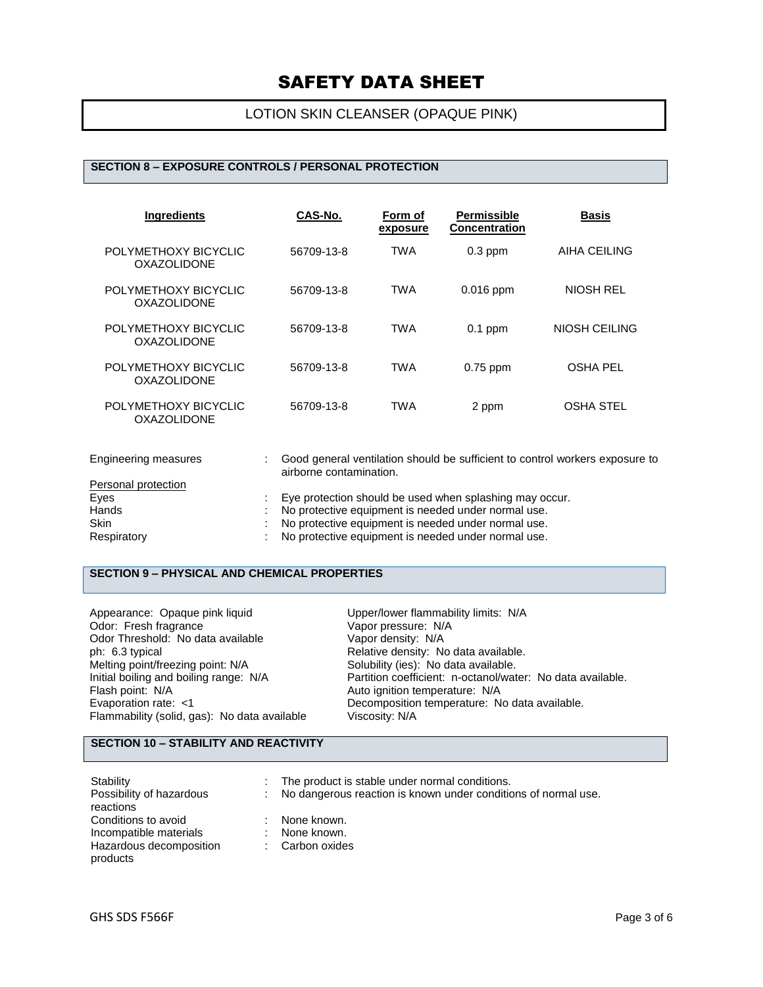### LOTION SKIN CLEANSER (OPAQUE PINK)

#### **SECTION 8 – EXPOSURE CONTROLS / PERSONAL PROTECTION**

| <b>Ingredients</b>                         | CAS-No.    | Form of<br>exposure | <b>Permissible</b><br><b>Concentration</b> | <b>Basis</b>     |
|--------------------------------------------|------------|---------------------|--------------------------------------------|------------------|
| POLYMETHOXY BICYCLIC<br><b>OXAZOLIDONE</b> | 56709-13-8 | <b>TWA</b>          | $0.3$ ppm                                  | AIHA CEILING     |
| POLYMETHOXY BICYCLIC<br><b>OXAZOLIDONE</b> | 56709-13-8 | <b>TWA</b>          | $0.016$ ppm                                | NIOSH REL        |
| POLYMETHOXY BICYCLIC<br><b>OXAZOLIDONE</b> | 56709-13-8 | <b>TWA</b>          | $0.1$ ppm                                  | NIOSH CEILING    |
| POLYMETHOXY BICYCLIC<br>OXAZOLIDONE        | 56709-13-8 | TWA                 | $0.75$ ppm                                 | <b>OSHA PEL</b>  |
| POLYMETHOXY BICYCLIC<br><b>OXAZOLIDONE</b> | 56709-13-8 | TWA                 | 2 ppm                                      | <b>OSHA STEL</b> |

| Engineering measures | Good general ventilation should be sufficient to control workers exposure to<br>airborne contamination. |
|----------------------|---------------------------------------------------------------------------------------------------------|
| Personal protection  |                                                                                                         |
| Eyes                 | Eye protection should be used when splashing may occur.                                                 |
| Hands                | No protective equipment is needed under normal use.                                                     |
| <b>Skin</b>          | No protective equipment is needed under normal use.                                                     |
| Respiratory          | No protective equipment is needed under normal use.                                                     |

### **SECTION 9 – PHYSICAL AND CHEMICAL PROPERTIES**

| Appearance: Opaque pink liquid               | Upper/lower flammability limits: N/A                       |
|----------------------------------------------|------------------------------------------------------------|
| Odor: Fresh fragrance                        | Vapor pressure: N/A                                        |
| Odor Threshold: No data available            | Vapor density: N/A                                         |
| ph: 6.3 typical                              | Relative density: No data available.                       |
| Melting point/freezing point: N/A            | Solubility (ies): No data available.                       |
| Initial boiling and boiling range: N/A       | Partition coefficient: n-octanol/water: No data available. |
| Flash point: N/A                             | Auto ignition temperature: N/A                             |
| Evaporation rate: <1                         | Decomposition temperature: No data available.              |
| Flammability (solid, gas): No data available | Viscosity: N/A                                             |

#### **SECTION 10 – STABILITY AND REACTIVITY**

| Stability<br>Possibility of hazardous<br>reactions                                   | ÷. | The product is stable under normal conditions.<br>No dangerous reaction is known under conditions of normal use. |
|--------------------------------------------------------------------------------------|----|------------------------------------------------------------------------------------------------------------------|
| Conditions to avoid<br>Incompatible materials<br>Hazardous decomposition<br>products | ÷. | None known.<br>None known.<br>Carbon oxides                                                                      |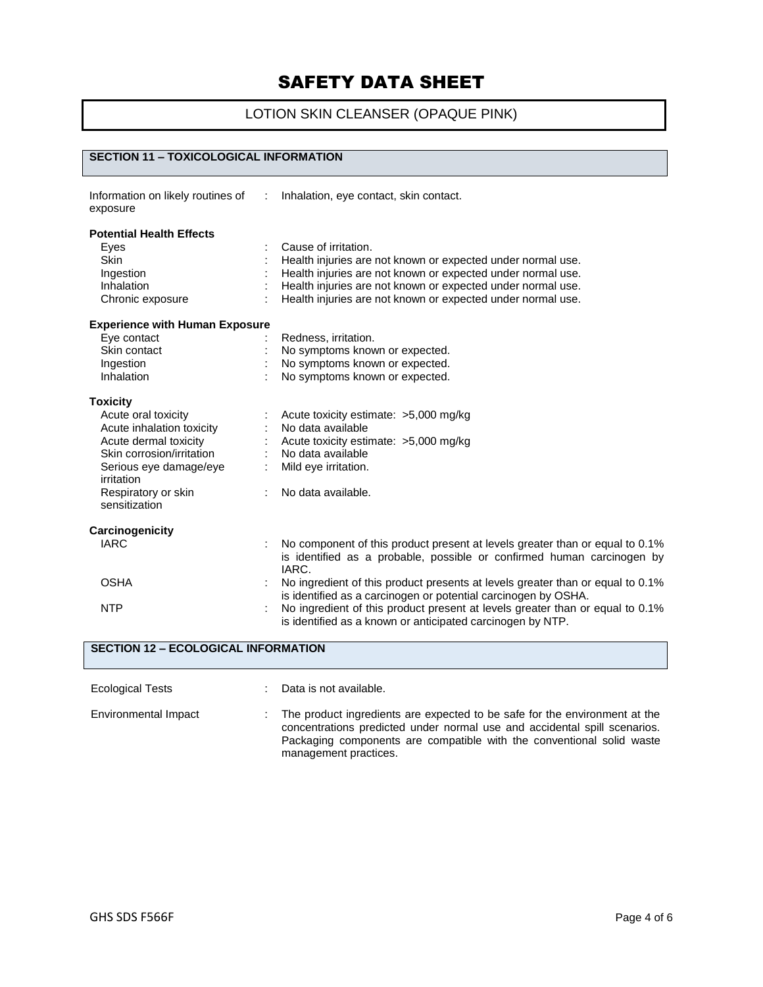## LOTION SKIN CLEANSER (OPAQUE PINK)

#### **SECTION 11 – TOXICOLOGICAL INFORMATION**

| Information on likely routines of :<br>exposure | Inhalation, eye contact, skin contact.                                                                                                                          |
|-------------------------------------------------|-----------------------------------------------------------------------------------------------------------------------------------------------------------------|
| <b>Potential Health Effects</b>                 |                                                                                                                                                                 |
| Eyes                                            | Cause of irritation.                                                                                                                                            |
| <b>Skin</b>                                     | Health injuries are not known or expected under normal use.                                                                                                     |
| Ingestion                                       | Health injuries are not known or expected under normal use.                                                                                                     |
| Inhalation                                      | Health injuries are not known or expected under normal use.                                                                                                     |
| Chronic exposure                                | Health injuries are not known or expected under normal use.                                                                                                     |
| <b>Experience with Human Exposure</b>           |                                                                                                                                                                 |
| Eye contact                                     | Redness, irritation.                                                                                                                                            |
| Skin contact                                    | No symptoms known or expected.                                                                                                                                  |
| Ingestion                                       | No symptoms known or expected.                                                                                                                                  |
| Inhalation                                      | No symptoms known or expected.                                                                                                                                  |
| <b>Toxicity</b>                                 |                                                                                                                                                                 |
| Acute oral toxicity                             | Acute toxicity estimate: >5,000 mg/kg                                                                                                                           |
| Acute inhalation toxicity                       | No data available                                                                                                                                               |
| Acute dermal toxicity                           | Acute toxicity estimate: >5,000 mg/kg                                                                                                                           |
| Skin corrosion/irritation                       | No data available                                                                                                                                               |
| Serious eye damage/eye<br>irritation            | Mild eye irritation.                                                                                                                                            |
| Respiratory or skin<br>sensitization            | No data available.                                                                                                                                              |
| Carcinogenicity                                 |                                                                                                                                                                 |
| <b>IARC</b>                                     | No component of this product present at levels greater than or equal to 0.1%<br>is identified as a probable, possible or confirmed human carcinogen by<br>IARC. |
| <b>OSHA</b>                                     | No ingredient of this product presents at levels greater than or equal to 0.1%<br>is identified as a carcinogen or potential carcinogen by OSHA.                |
| <b>NTP</b>                                      | No ingredient of this product present at levels greater than or equal to 0.1%<br>is identified as a known or anticipated carcinogen by NTP.                     |

| <b>SECTION 12 - ECOLOGICAL INFORMATION</b> |    |                                                                                                                                                                                                                                                           |  |  |  |
|--------------------------------------------|----|-----------------------------------------------------------------------------------------------------------------------------------------------------------------------------------------------------------------------------------------------------------|--|--|--|
| <b>Ecological Tests</b>                    |    | Data is not available.                                                                                                                                                                                                                                    |  |  |  |
| Environmental Impact                       | ÷. | The product ingredients are expected to be safe for the environment at the<br>concentrations predicted under normal use and accidental spill scenarios.<br>Packaging components are compatible with the conventional solid waste<br>management practices. |  |  |  |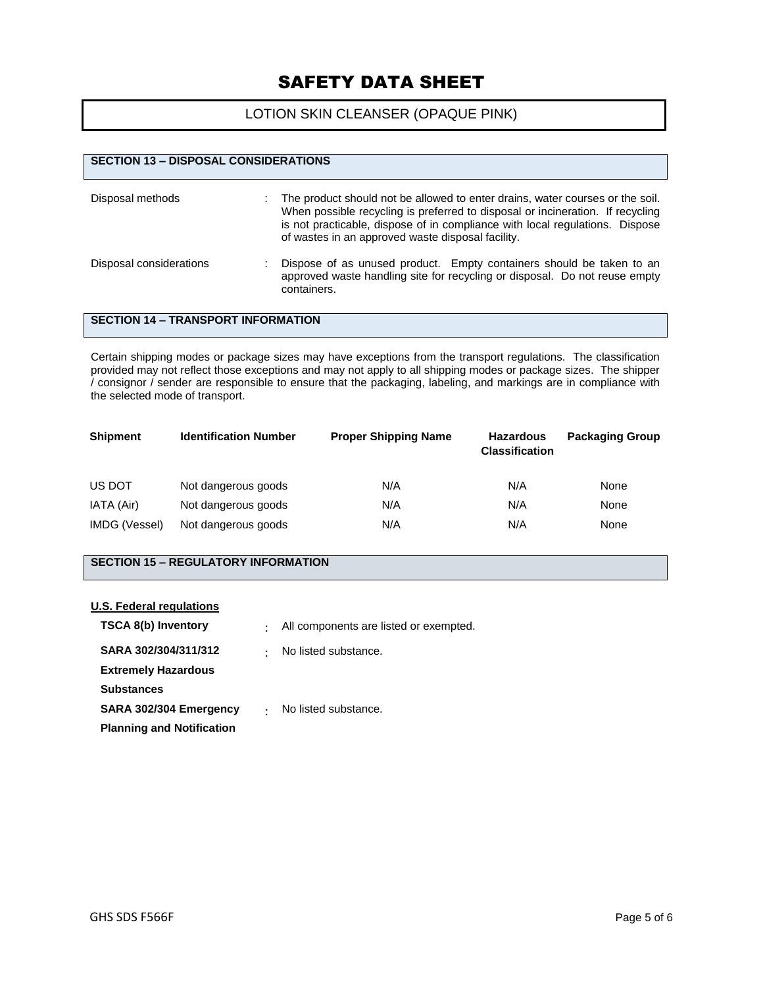#### LOTION SKIN CLEANSER (OPAQUE PINK)

| <b>SECTION 13 - DISPOSAL CONSIDERATIONS</b> |                                                                                                                                                                                                                                                                                                      |  |  |  |  |  |  |
|---------------------------------------------|------------------------------------------------------------------------------------------------------------------------------------------------------------------------------------------------------------------------------------------------------------------------------------------------------|--|--|--|--|--|--|
| Disposal methods                            | The product should not be allowed to enter drains, water courses or the soil.<br>When possible recycling is preferred to disposal or incineration. If recycling<br>is not practicable, dispose of in compliance with local regulations. Dispose<br>of wastes in an approved waste disposal facility. |  |  |  |  |  |  |
| Disposal considerations                     | Dispose of as unused product. Empty containers should be taken to an<br>approved waste handling site for recycling or disposal. Do not reuse empty<br>containers.                                                                                                                                    |  |  |  |  |  |  |

#### **SECTION 14 – TRANSPORT INFORMATION**

Certain shipping modes or package sizes may have exceptions from the transport regulations. The classification provided may not reflect those exceptions and may not apply to all shipping modes or package sizes. The shipper / consignor / sender are responsible to ensure that the packaging, labeling, and markings are in compliance with the selected mode of transport.

| <b>Shipment</b> | <b>Identification Number</b> | <b>Proper Shipping Name</b> | <b>Hazardous</b><br><b>Classification</b> | <b>Packaging Group</b> |
|-----------------|------------------------------|-----------------------------|-------------------------------------------|------------------------|
| US DOT          | Not dangerous goods          | N/A                         | N/A                                       | None                   |
| IATA (Air)      | Not dangerous goods          | N/A                         | N/A                                       | None                   |
| IMDG (Vessel)   | Not dangerous goods          | N/A                         | N/A                                       | None                   |

#### **SECTION 15 – REGULATORY INFORMATION**

#### **U.S. Federal regulations**

| <b>TSCA 8(b) Inventory</b>       | $\bullet$ | All components are listed or exempted. |
|----------------------------------|-----------|----------------------------------------|
| SARA 302/304/311/312             | $\bullet$ | No listed substance.                   |
| <b>Extremely Hazardous</b>       |           |                                        |
| <b>Substances</b>                |           |                                        |
| SARA 302/304 Emergency           |           | No listed substance.                   |
| <b>Planning and Notification</b> |           |                                        |